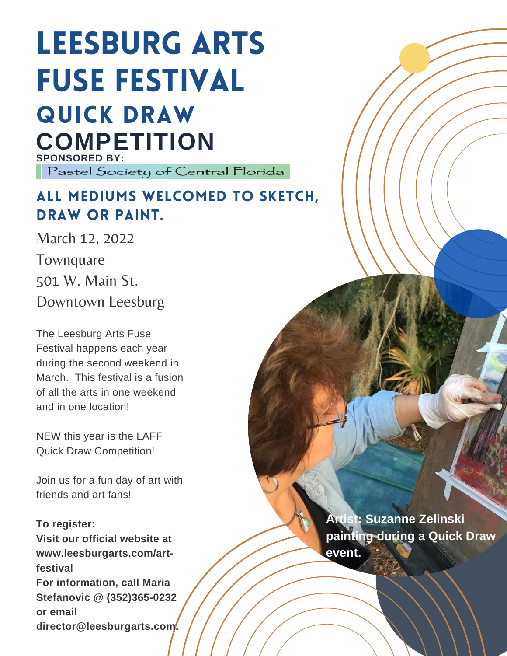## Leesburg Arts Fuse Festival QUICK DRAW **COMPETITION**

**SPONSORED BY:** Pastel Society of Central Florida

### ALL MEDIUMS WELCOMED TO SKETCH, DRAW OR PAINT.

March 12, 2022 **Townquare** 501 W. Main St. Downtown Leesburg

The Leesburg Arts Fuse Festival happens each year during the second weekend in March. This festival is a fusion of all the arts in one weekend and in one location!

NEW this year is the LAFF Quick Draw Competition!

Join us for a fun day of art with friends and art fans!

### **To register:**

**Visit our official website at www.leesburgarts.com/artfestival For information, call Maria Stefanovic @ (352)365-0232 or email director@leesburgarts.com.**

**Artist: Suzanne Zelinski painting during a Quick Draw event.**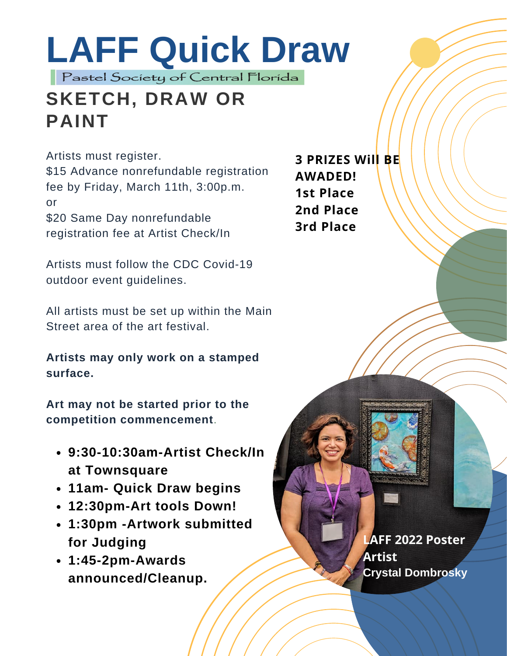# **LAFF Quick Draw**

### **SKETCH, DRAW OR PAINT**

Artists must register.

\$15 Advance nonrefundable registration fee by Friday, March 11th, 3:00p.m. or \$20 Same Day nonrefundable

registration fee at Artist Check/In

Artists must follow the CDC Covid-19 outdoor event guidelines.

All artists must be set up within the Main Street area of the art festival.

**Artists may only work on a stamped surface.**

**Art may not be started prior to the competition commencement**.

- **9:30-10:30am-Artist Check/In at Townsquare**
- **11am- Quick Draw begins**
- **12:30pm-Art tools Down!**
- **1:30pm -Artwork submitted for Judging**
- **1:45-2pm-Awards announced/Cleanup.**

**3 PRIZES Will BE AWADED! 1st Place 2nd Place 3rd Place**

> **LAFF 2022 Poster Artist Crystal Dombrosky**